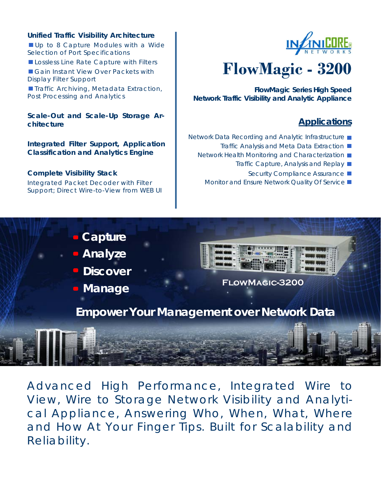#### **Unified Traffic Visibility Architecture**

Up to 8 Capture Modules with a Wide Selection of Port Specifications

Lossless Line Rate Capture with Filters

Gain Instant View Over Packets with Display Filter Support

**Traffic Archiving, Metadata Extraction,** Post Processing and Analytics

**Scale-Out and Scale-Up Storage Architecture** 

**Integrated Filter Support, Application Classification and Analytics Engine**

#### **Complete Visibility Stack**

Integrated Packet Decoder with Filter Support; Direct Wire-to-View from WEB UI



# **FlowMagic - 3200**

**FlowMagic Series High Speed Network Traffic Visibility and Analytic Appliance** 

#### **Applications**

- Network Data Recording and Analytic Infrastructure
	- Traffic Analysis and Meta Data Extraction ■
	- Network Health Monitoring and Characterization
		- Traffic Capture, Analysis and Replay
			- Security Compliance Assurance ■
		- Monitor and Ensure Network Quality Of Service ■

## **Capture**

**Analyze** 

**Discover** 

**• Manage** 



#### **FlowMagic-3200**

**Empower Your Management over Network Data** 

Advanced High Performance, Integrated Wire to View, Wire to Storage Network Visibility and Analytical Appliance, Answering Who, When, What, Where and How At Your Finger Tips. Built for Scalability and Reliability.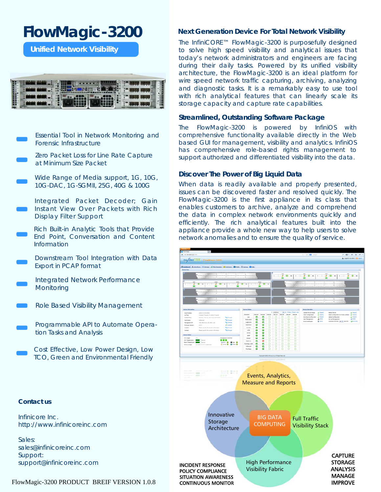## **FlowMagic-3200**

**Unified Network Visibility** 

|                                 | <b>The County</b> |
|---------------------------------|-------------------|
| <b>Common</b><br><b>Parties</b> | . .               |
|                                 |                   |



Zero Packet Loss for Line Rate Capture at Minimum Size Packet

Wide Range of Media support, 1G, 10G, 10G-DAC, 1G-SGMII, 25G, 40G & 100G

Integrated Packet Decoder; Gain Instant View Over Packets with Rich Display Filter Support

Rich Built-in Analytic Tools that Provide End Point, Conversation and Content Information

Downstream Tool Integration with Data Export in PCAP format

Integrated Network Performance **Monitoring** 

Role Based Visibility Management

Programmable API to Automate Operation Tasks and Analysis

Cost Effective, Low Power Design, Low TCO, Green and Environmental Friendly

#### architecture, the FlowMagic-3200 is an ideal platform for wire speed network traffic capturing, archiving, analyzing and diagnostic tasks. It is a remarkably easy to use tool with rich analytical features that can linearly scale its storage capacity and capture rate capabilities. **Streamlined, Outstanding Software Package**

**Next Generation Device For Total Network Visibility**  The InfiniCORE™ FlowMagic-3200 is purposefully designed to solve high speed visibility and analytical issues that today's network administrators and engineers are facing during their daily tasks. Powered by its unified visibility

The FlowMagic-3200 is powered by InfiniOS with comprehensive functionality available directly in the Web based GUI for management, visibility and analytics. InfiniOS has comprehensive role-based rights management to support authorized and differentiated visibility into the data.

#### **Discover The Power of Big Liquid Data**

When data is readily available and properly presented, issues can be discovered faster and resolved quickly. The FlowMagic-3200 is the first appliance in its class that enables customers to archive, analyze and comprehend the data in complex network environments quickly and efficiently. The rich analytical features built into the appliance provide a whole new way to help users to solve network anomalies and to ensure the quality of service.



#### **Contact us**

Infinicore Inc. http://www.infinicoreinc.com

Sales: sales@infinicoreinc.com Support: support@infinicoreinc.com

#### FlowMagic-3200 PRODUCT BREIF VERSION 1.0.8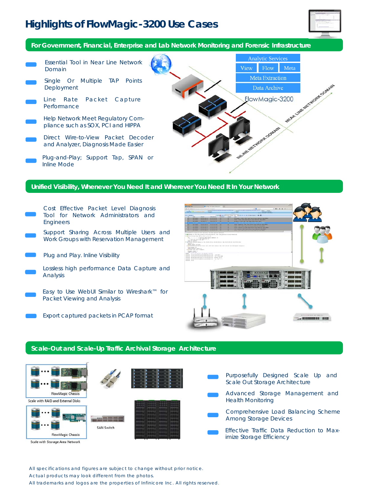### **Highlights of FlowMagic-3200 Use Cases**



**For Government, Financial, Enterprise and Lab Network Monitoring and Forensic Infrastructure** 

Analytic Services Essential Tool in Near Line Network View Flow Meta Domain Meta Extraction Single Or Multiple TAP Points FlowMagic-3200 Deployment Data Archive Line Rate Packet Capture Performance Help Network Meet Regulatory Compliance such as SOX, PCI and HIPPA Worksont Comment Direct Wire-to-View Packet Decoder and Analyzer, Diagnosis Made Easier Plug-and-Play; Support Tap, SPAN or Inline Mode

#### **Unified Visibility, Whenever You Need It and Wherever You Need It In Your Network**

- Cost Effective Packet Level Diagnosis Tool for Network Administrators and Engineers
- Support Sharing Across Multiple Users and Work Groups with Reservation Management
- Plug and Play. Inline Visibility
- Lossless high performance Data Capture and Analysis
- Easy to Use WebUI Similar to Wireshark™ for Packet Viewing and Analysis
	- Export captured packets in PCAP format



#### **Scale-Out and Scale-Up Traffic Archival Storage Architecture**



All specifications and figures are subject to change without prior notice.

Actual products may look different from the photos.

All trademarks and logos are the properties of Infinicore Inc. All rights reserved.